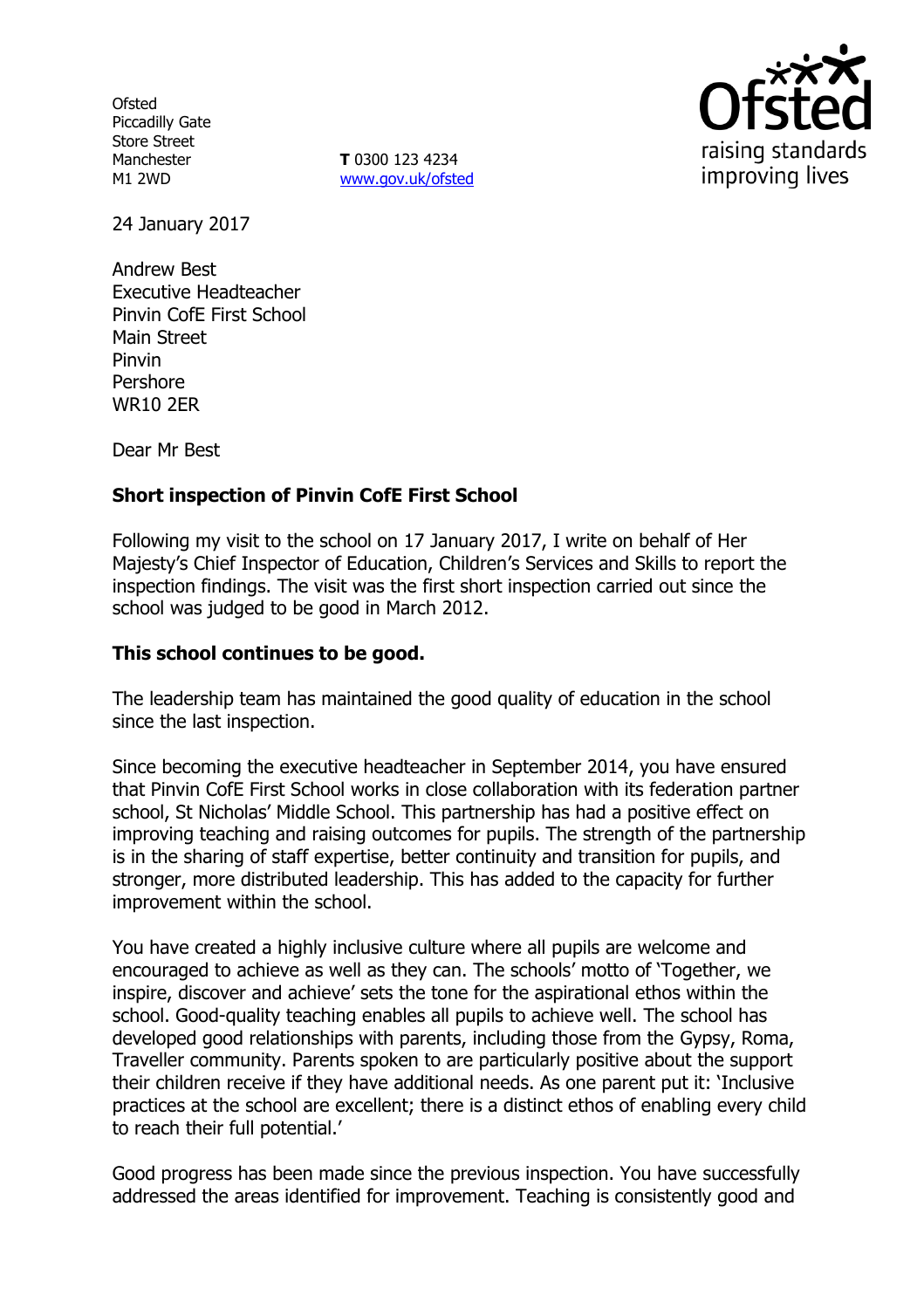**Ofsted** Piccadilly Gate Store Street Manchester M1 2WD

**T** 0300 123 4234 www.gov.uk/ofsted



24 January 2017

Andrew Best Executive Headteacher Pinvin CofE First School Main Street Pinvin Pershore WR10 2ER

Dear Mr Best

### **Short inspection of Pinvin CofE First School**

Following my visit to the school on 17 January 2017, I write on behalf of Her Majesty's Chief Inspector of Education, Children's Services and Skills to report the inspection findings. The visit was the first short inspection carried out since the school was judged to be good in March 2012.

#### **This school continues to be good.**

The leadership team has maintained the good quality of education in the school since the last inspection.

Since becoming the executive headteacher in September 2014, you have ensured that Pinvin CofE First School works in close collaboration with its federation partner school, St Nicholas' Middle School. This partnership has had a positive effect on improving teaching and raising outcomes for pupils. The strength of the partnership is in the sharing of staff expertise, better continuity and transition for pupils, and stronger, more distributed leadership. This has added to the capacity for further improvement within the school.

You have created a highly inclusive culture where all pupils are welcome and encouraged to achieve as well as they can. The schools' motto of 'Together, we inspire, discover and achieve' sets the tone for the aspirational ethos within the school. Good-quality teaching enables all pupils to achieve well. The school has developed good relationships with parents, including those from the Gypsy, Roma, Traveller community. Parents spoken to are particularly positive about the support their children receive if they have additional needs. As one parent put it: 'Inclusive practices at the school are excellent; there is a distinct ethos of enabling every child to reach their full potential.'

Good progress has been made since the previous inspection. You have successfully addressed the areas identified for improvement. Teaching is consistently good and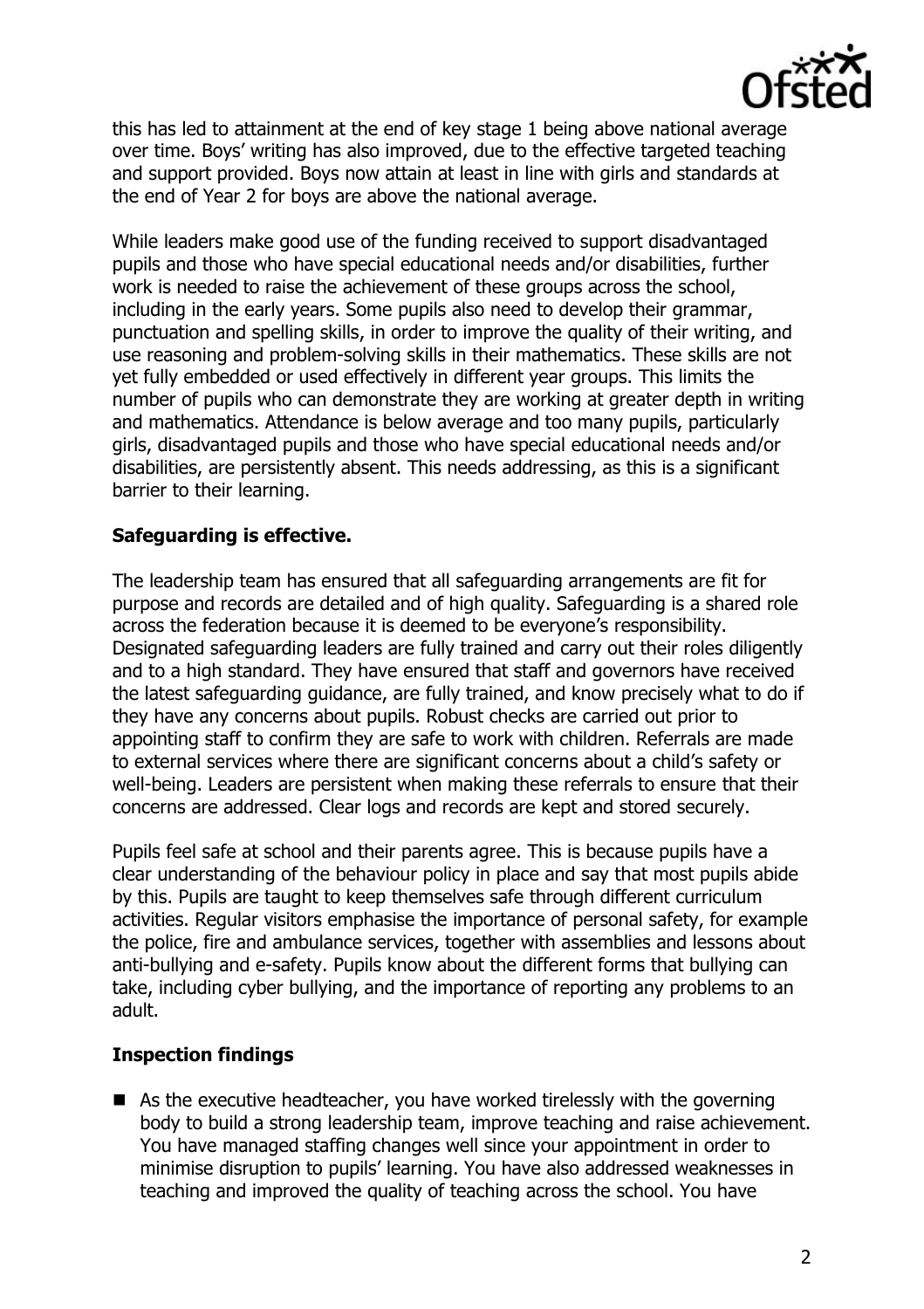

this has led to attainment at the end of key stage 1 being above national average over time. Boys' writing has also improved, due to the effective targeted teaching and support provided. Boys now attain at least in line with girls and standards at the end of Year 2 for boys are above the national average.

While leaders make good use of the funding received to support disadvantaged pupils and those who have special educational needs and/or disabilities, further work is needed to raise the achievement of these groups across the school, including in the early years. Some pupils also need to develop their grammar, punctuation and spelling skills, in order to improve the quality of their writing, and use reasoning and problem-solving skills in their mathematics. These skills are not yet fully embedded or used effectively in different year groups. This limits the number of pupils who can demonstrate they are working at greater depth in writing and mathematics. Attendance is below average and too many pupils, particularly girls, disadvantaged pupils and those who have special educational needs and/or disabilities, are persistently absent. This needs addressing, as this is a significant barrier to their learning.

# **Safeguarding is effective.**

The leadership team has ensured that all safeguarding arrangements are fit for purpose and records are detailed and of high quality. Safeguarding is a shared role across the federation because it is deemed to be everyone's responsibility. Designated safeguarding leaders are fully trained and carry out their roles diligently and to a high standard. They have ensured that staff and governors have received the latest safeguarding guidance, are fully trained, and know precisely what to do if they have any concerns about pupils. Robust checks are carried out prior to appointing staff to confirm they are safe to work with children. Referrals are made to external services where there are significant concerns about a child's safety or well-being. Leaders are persistent when making these referrals to ensure that their concerns are addressed. Clear logs and records are kept and stored securely.

Pupils feel safe at school and their parents agree. This is because pupils have a clear understanding of the behaviour policy in place and say that most pupils abide by this. Pupils are taught to keep themselves safe through different curriculum activities. Regular visitors emphasise the importance of personal safety, for example the police, fire and ambulance services, together with assemblies and lessons about anti-bullying and e-safety. Pupils know about the different forms that bullying can take, including cyber bullying, and the importance of reporting any problems to an adult.

# **Inspection findings**

■ As the executive headteacher, you have worked tirelessly with the governing body to build a strong leadership team, improve teaching and raise achievement. You have managed staffing changes well since your appointment in order to minimise disruption to pupils' learning. You have also addressed weaknesses in teaching and improved the quality of teaching across the school. You have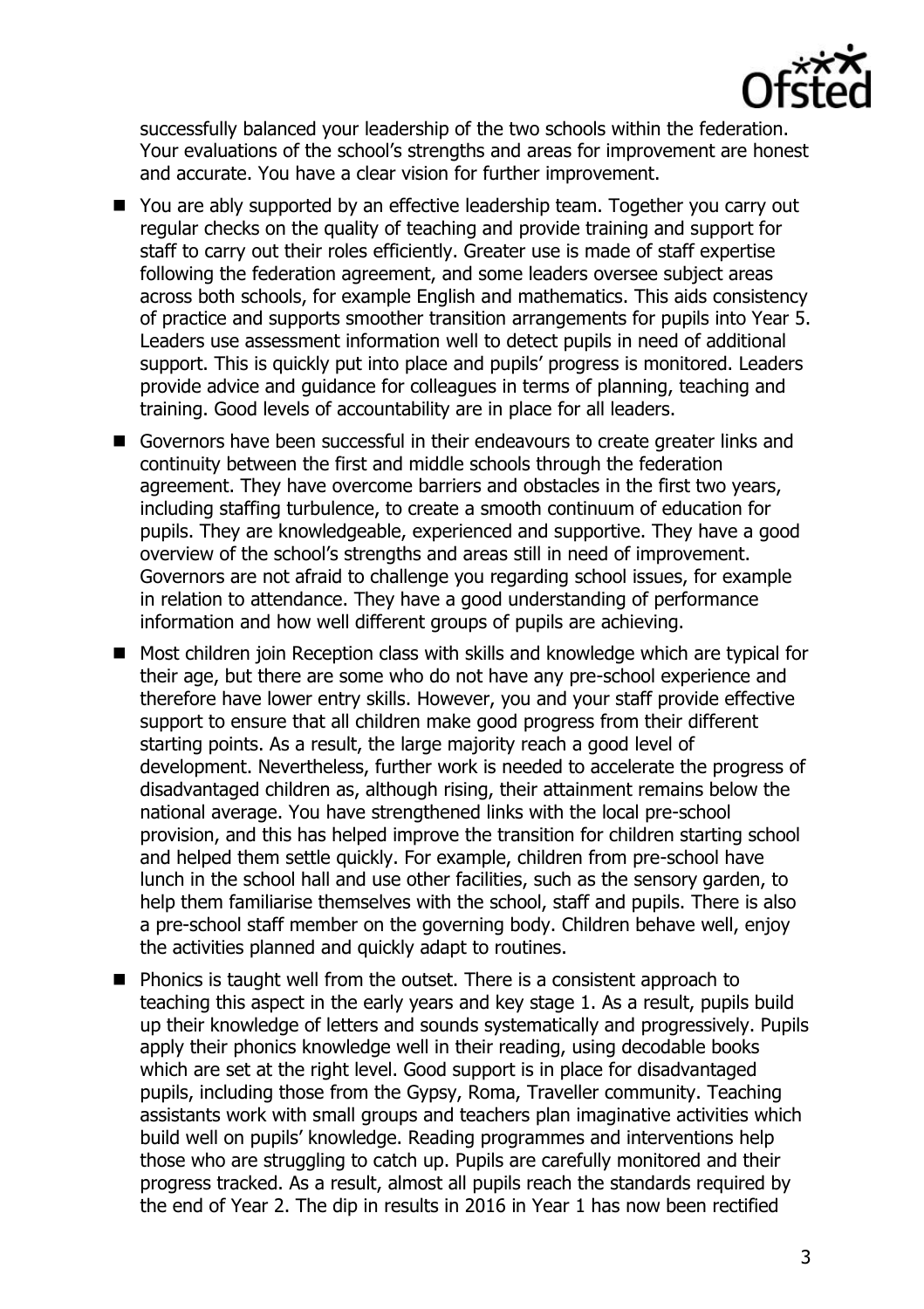

successfully balanced your leadership of the two schools within the federation. Your evaluations of the school's strengths and areas for improvement are honest and accurate. You have a clear vision for further improvement.

- You are ably supported by an effective leadership team. Together you carry out regular checks on the quality of teaching and provide training and support for staff to carry out their roles efficiently. Greater use is made of staff expertise following the federation agreement, and some leaders oversee subject areas across both schools, for example English and mathematics. This aids consistency of practice and supports smoother transition arrangements for pupils into Year 5. Leaders use assessment information well to detect pupils in need of additional support. This is quickly put into place and pupils' progress is monitored. Leaders provide advice and guidance for colleagues in terms of planning, teaching and training. Good levels of accountability are in place for all leaders.
- Governors have been successful in their endeavours to create greater links and continuity between the first and middle schools through the federation agreement. They have overcome barriers and obstacles in the first two years, including staffing turbulence, to create a smooth continuum of education for pupils. They are knowledgeable, experienced and supportive. They have a good overview of the school's strengths and areas still in need of improvement. Governors are not afraid to challenge you regarding school issues, for example in relation to attendance. They have a good understanding of performance information and how well different groups of pupils are achieving.
- Most children join Reception class with skills and knowledge which are typical for their age, but there are some who do not have any pre-school experience and therefore have lower entry skills. However, you and your staff provide effective support to ensure that all children make good progress from their different starting points. As a result, the large majority reach a good level of development. Nevertheless, further work is needed to accelerate the progress of disadvantaged children as, although rising, their attainment remains below the national average. You have strengthened links with the local pre-school provision, and this has helped improve the transition for children starting school and helped them settle quickly. For example, children from pre-school have lunch in the school hall and use other facilities, such as the sensory garden, to help them familiarise themselves with the school, staff and pupils. There is also a pre-school staff member on the governing body. Children behave well, enjoy the activities planned and quickly adapt to routines.
- Phonics is taught well from the outset. There is a consistent approach to teaching this aspect in the early years and key stage 1. As a result, pupils build up their knowledge of letters and sounds systematically and progressively. Pupils apply their phonics knowledge well in their reading, using decodable books which are set at the right level. Good support is in place for disadvantaged pupils, including those from the Gypsy, Roma, Traveller community. Teaching assistants work with small groups and teachers plan imaginative activities which build well on pupils' knowledge. Reading programmes and interventions help those who are struggling to catch up. Pupils are carefully monitored and their progress tracked. As a result, almost all pupils reach the standards required by the end of Year 2. The dip in results in 2016 in Year 1 has now been rectified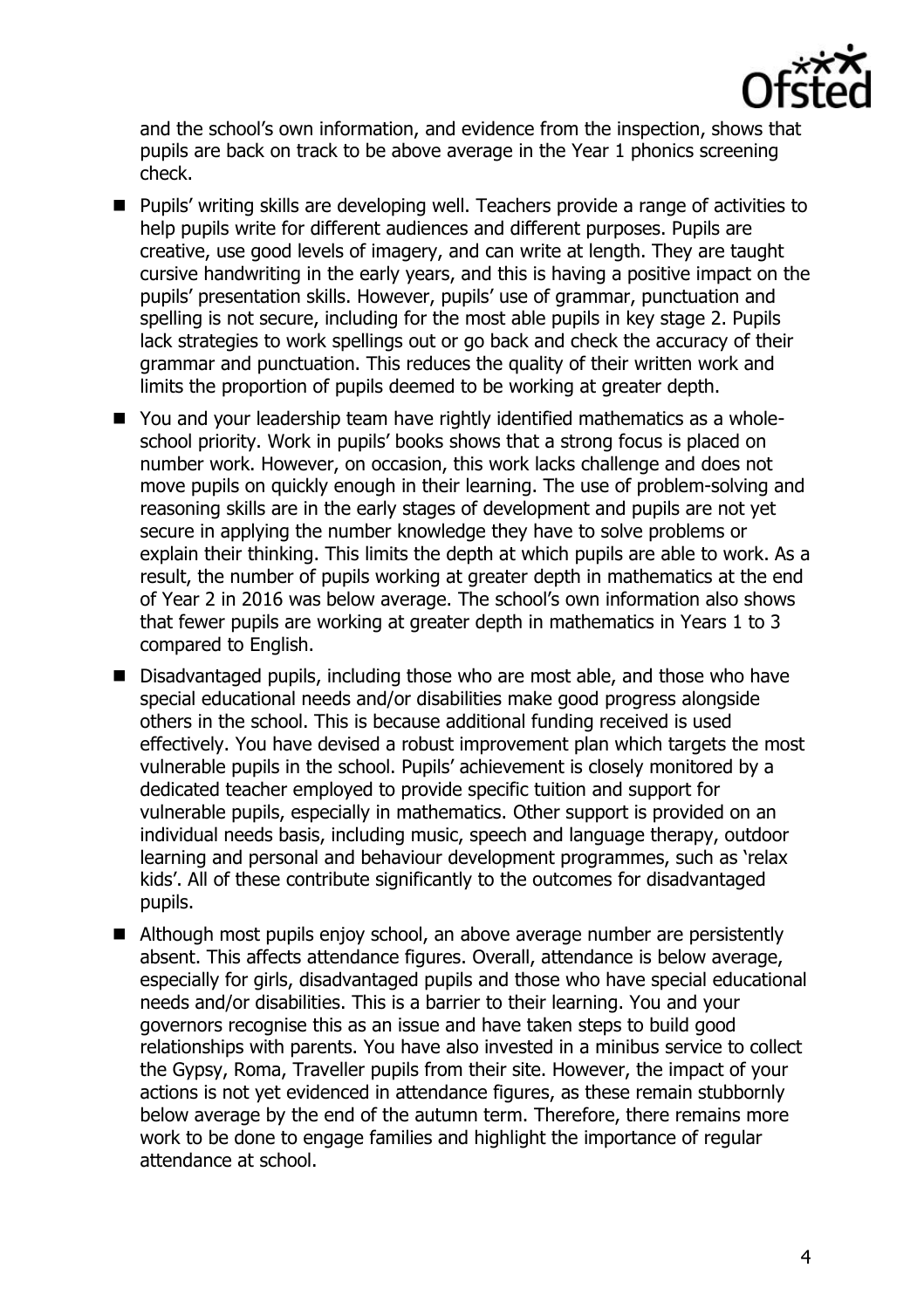

and the school's own information, and evidence from the inspection, shows that pupils are back on track to be above average in the Year 1 phonics screening check.

- **Pupils'** writing skills are developing well. Teachers provide a range of activities to help pupils write for different audiences and different purposes. Pupils are creative, use good levels of imagery, and can write at length. They are taught cursive handwriting in the early years, and this is having a positive impact on the pupils' presentation skills. However, pupils' use of grammar, punctuation and spelling is not secure, including for the most able pupils in key stage 2. Pupils lack strategies to work spellings out or go back and check the accuracy of their grammar and punctuation. This reduces the quality of their written work and limits the proportion of pupils deemed to be working at greater depth.
- You and your leadership team have rightly identified mathematics as a wholeschool priority. Work in pupils' books shows that a strong focus is placed on number work. However, on occasion, this work lacks challenge and does not move pupils on quickly enough in their learning. The use of problem-solving and reasoning skills are in the early stages of development and pupils are not yet secure in applying the number knowledge they have to solve problems or explain their thinking. This limits the depth at which pupils are able to work. As a result, the number of pupils working at greater depth in mathematics at the end of Year 2 in 2016 was below average. The school's own information also shows that fewer pupils are working at greater depth in mathematics in Years 1 to 3 compared to English.
- Disadvantaged pupils, including those who are most able, and those who have special educational needs and/or disabilities make good progress alongside others in the school. This is because additional funding received is used effectively. You have devised a robust improvement plan which targets the most vulnerable pupils in the school. Pupils' achievement is closely monitored by a dedicated teacher employed to provide specific tuition and support for vulnerable pupils, especially in mathematics. Other support is provided on an individual needs basis, including music, speech and language therapy, outdoor learning and personal and behaviour development programmes, such as 'relax kids'. All of these contribute significantly to the outcomes for disadvantaged pupils.
- Although most pupils enjoy school, an above average number are persistently absent. This affects attendance figures. Overall, attendance is below average, especially for girls, disadvantaged pupils and those who have special educational needs and/or disabilities. This is a barrier to their learning. You and your governors recognise this as an issue and have taken steps to build good relationships with parents. You have also invested in a minibus service to collect the Gypsy, Roma, Traveller pupils from their site. However, the impact of your actions is not yet evidenced in attendance figures, as these remain stubbornly below average by the end of the autumn term. Therefore, there remains more work to be done to engage families and highlight the importance of regular attendance at school.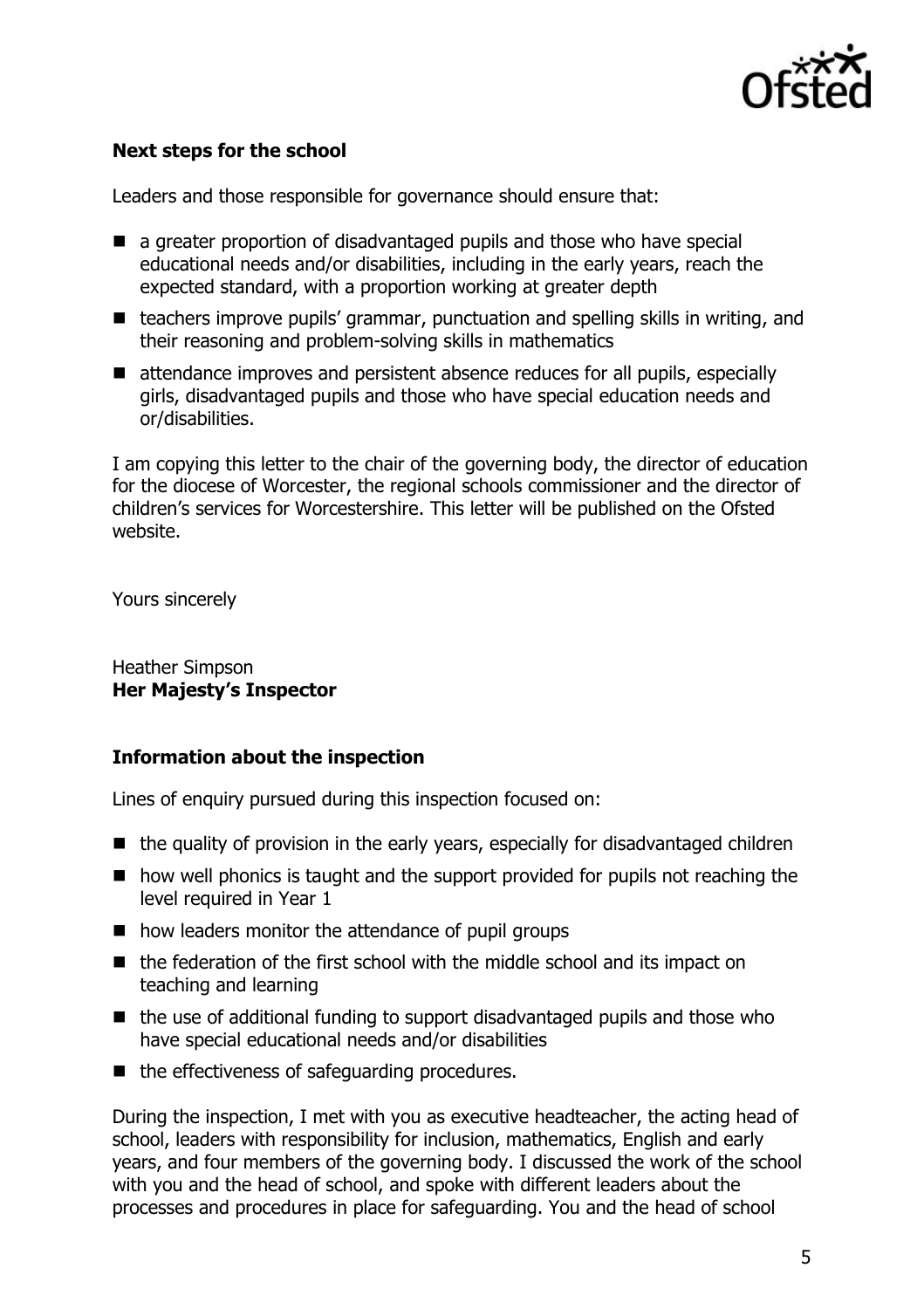

## **Next steps for the school**

Leaders and those responsible for governance should ensure that:

- a greater proportion of disadvantaged pupils and those who have special educational needs and/or disabilities, including in the early years, reach the expected standard, with a proportion working at greater depth
- teachers improve pupils' grammar, punctuation and spelling skills in writing, and their reasoning and problem-solving skills in mathematics
- attendance improves and persistent absence reduces for all pupils, especially girls, disadvantaged pupils and those who have special education needs and or/disabilities.

I am copying this letter to the chair of the governing body, the director of education for the diocese of Worcester, the regional schools commissioner and the director of children's services for Worcestershire. This letter will be published on the Ofsted website.

Yours sincerely

Heather Simpson **Her Majesty's Inspector**

#### **Information about the inspection**

Lines of enquiry pursued during this inspection focused on:

- $\blacksquare$  the quality of provision in the early years, especially for disadvantaged children
- how well phonics is taught and the support provided for pupils not reaching the level required in Year 1
- how leaders monitor the attendance of pupil groups
- the federation of the first school with the middle school and its impact on teaching and learning
- $\blacksquare$  the use of additional funding to support disadvantaged pupils and those who have special educational needs and/or disabilities
- $\blacksquare$  the effectiveness of safeguarding procedures.

During the inspection, I met with you as executive headteacher, the acting head of school, leaders with responsibility for inclusion, mathematics, English and early years, and four members of the governing body. I discussed the work of the school with you and the head of school, and spoke with different leaders about the processes and procedures in place for safeguarding. You and the head of school